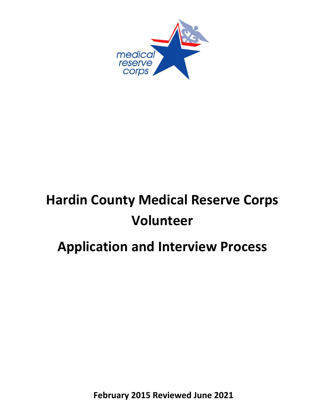

# **Hardin County Medical Reserve Corps Volunteer**

## **Application and Interview Process**

**February 2015 Reviewed June 2021**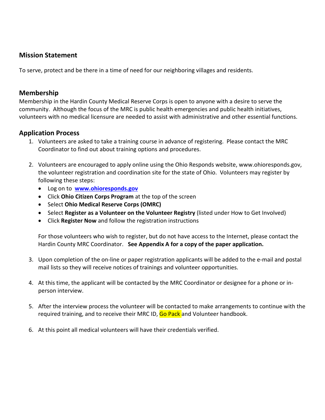#### **Mission Statement**

To serve, protect and be there in a time of need for our neighboring villages and residents.

#### **Membership**

Membership in the Hardin County Medical Reserve Corps is open to anyone with a desire to serve the community. Although the focus of the MRC is public health emergencies and public health initiatives, volunteers with no medical licensure are needed to assist with administrative and other essential functions.

#### **Application Process**

- 1. Volunteers are asked to take a training course in advance of registering. Please contact the MRC Coordinator to find out about training options and procedures.
- 2. Volunteers are encouraged to apply online using the Ohio Responds website, www.ohioresponds.gov, the volunteer registration and coordination site for the state of Ohio. Volunteers may register by following these steps:
	- Log on to **[www.ohioresponds.gov](http://www.ohioresponds.gov/)**
	- Click **Ohio Citizen Corps Program** at the top of the screen
	- Select **Ohio Medical Reserve Corps (OMRC)**
	- Select **Register as a Volunteer on the Volunteer Registry** (listed under How to Get Involved)
	- Click **Register Now** and follow the registration instructions

For those volunteers who wish to register, but do not have access to the Internet, please contact the Hardin County MRC Coordinator. **See Appendix A for a copy of the paper application.**

- 3. Upon completion of the on-line or paper registration applicants will be added to the e-mail and postal mail lists so they will receive notices of trainings and volunteer opportunities.
- 4. At this time, the applicant will be contacted by the MRC Coordinator or designee for a phone or inperson interview.
- 5. After the interview process the volunteer will be contacted to make arrangements to continue with the required training, and to receive their MRC ID, Go Pack and Volunteer handbook.
- 6. At this point all medical volunteers will have their credentials verified.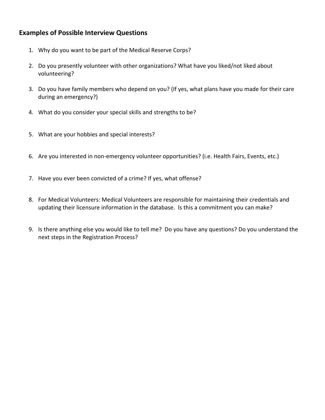#### **Examples of Possible Interview Questions**

- 1. Why do you want to be part of the Medical Reserve Corps?
- 2. Do you presently volunteer with other organizations? What have you liked/not liked about volunteering?
- 3. Do you have family members who depend on you? (If yes, what plans have you made for their care during an emergency?)
- 4. What do you consider your special skills and strengths to be?
- 5. What are your hobbies and special interests?
- 6. Are you interested in non-emergency volunteer opportunities? (i.e. Health Fairs, Events, etc.)
- 7. Have you ever been convicted of a crime? If yes, what offense?
- 8. For Medical Volunteers: Medical Volunteers are responsible for maintaining their credentials and updating their licensure information in the database. Is this a commitment you can make?
- 9. Is there anything else you would like to tell me? Do you have any questions? Do you understand the next steps in the Registration Process?